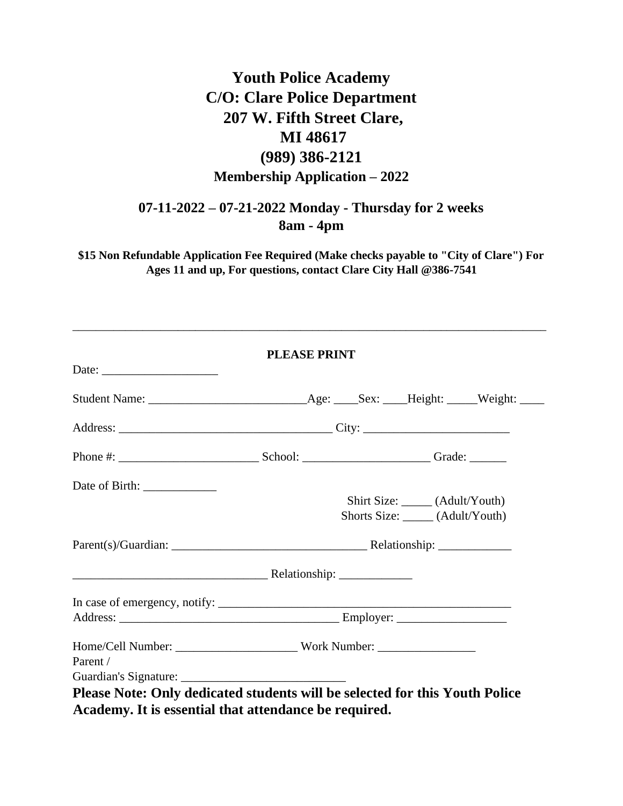# **Youth Police Academy C/O: Clare Police Department 207 W. Fifth Street Clare, MI 48617 (989) 386-2121 Membership Application – 2022**

## **07-11-2022 – 07-21-2022 Monday - Thursday for 2 weeks 8am - 4pm**

**\$15 Non Refundable Application Fee Required (Make checks payable to "City of Clare") For Ages 11 and up, For questions, contact Clare City Hall @386-7541** 

\_\_\_\_\_\_\_\_\_\_\_\_\_\_\_\_\_\_\_\_\_\_\_\_\_\_\_\_\_\_\_\_\_\_\_\_\_\_\_\_\_\_\_\_\_\_\_\_\_\_\_\_\_\_\_\_\_\_\_\_\_\_\_\_\_\_\_\_\_\_\_\_\_\_\_\_\_\_\_\_\_

|                                | <b>PLEASE PRINT</b> |  |                                                                      |  |
|--------------------------------|---------------------|--|----------------------------------------------------------------------|--|
|                                |                     |  |                                                                      |  |
|                                |                     |  |                                                                      |  |
|                                |                     |  |                                                                      |  |
|                                |                     |  |                                                                      |  |
| Date of Birth: _______________ |                     |  |                                                                      |  |
|                                |                     |  | Shirt Size: ______ (Adult/Youth)<br>Shorts Size: _____ (Adult/Youth) |  |
|                                |                     |  |                                                                      |  |
|                                |                     |  |                                                                      |  |
|                                |                     |  |                                                                      |  |
|                                |                     |  |                                                                      |  |
|                                |                     |  |                                                                      |  |
|                                |                     |  |                                                                      |  |
| Parent /                       |                     |  |                                                                      |  |
|                                |                     |  |                                                                      |  |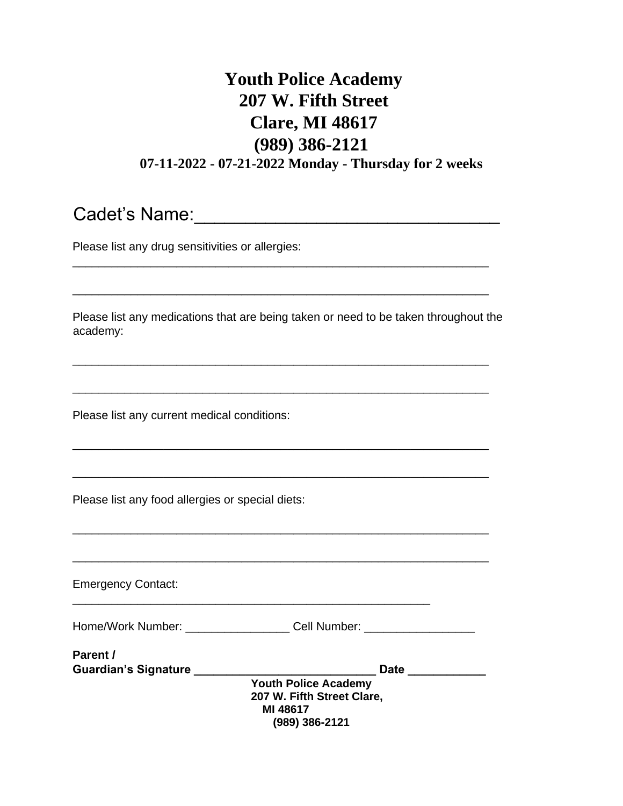# **Youth Police Academy 207 W. Fifth Street Clare, MI 48617 (989) 386-2121 07-11-2022 - 07-21-2022 Monday - Thursday for 2 weeks**

\_\_\_\_\_\_\_\_\_\_\_\_\_\_\_\_\_\_\_\_\_\_\_\_\_\_\_\_\_\_\_\_\_\_\_\_\_\_\_\_\_\_\_\_\_\_\_\_\_\_\_\_\_\_\_\_\_\_\_\_\_\_\_\_

Cadet's Name:\_\_\_\_\_\_\_\_\_\_\_\_\_\_\_\_\_\_\_\_\_\_\_\_\_\_\_\_\_\_

Please list any drug sensitivities or allergies:

Please list any medications that are being taken or need to be taken throughout the academy:

\_\_\_\_\_\_\_\_\_\_\_\_\_\_\_\_\_\_\_\_\_\_\_\_\_\_\_\_\_\_\_\_\_\_\_\_\_\_\_\_\_\_\_\_\_\_\_\_\_\_\_\_\_\_\_\_\_\_\_\_\_\_\_\_

\_\_\_\_\_\_\_\_\_\_\_\_\_\_\_\_\_\_\_\_\_\_\_\_\_\_\_\_\_\_\_\_\_\_\_\_\_\_\_\_\_\_\_\_\_\_\_\_\_\_\_\_\_\_\_\_\_\_\_\_\_\_\_\_

\_\_\_\_\_\_\_\_\_\_\_\_\_\_\_\_\_\_\_\_\_\_\_\_\_\_\_\_\_\_\_\_\_\_\_\_\_\_\_\_\_\_\_\_\_\_\_\_\_\_\_\_\_\_\_\_\_\_\_\_\_\_\_\_

\_\_\_\_\_\_\_\_\_\_\_\_\_\_\_\_\_\_\_\_\_\_\_\_\_\_\_\_\_\_\_\_\_\_\_\_\_\_\_\_\_\_\_\_\_\_\_\_\_\_\_\_\_\_\_\_\_\_\_\_\_\_\_\_

\_\_\_\_\_\_\_\_\_\_\_\_\_\_\_\_\_\_\_\_\_\_\_\_\_\_\_\_\_\_\_\_\_\_\_\_\_\_\_\_\_\_\_\_\_\_\_\_\_\_\_\_\_\_\_\_\_\_\_\_\_\_\_\_

\_\_\_\_\_\_\_\_\_\_\_\_\_\_\_\_\_\_\_\_\_\_\_\_\_\_\_\_\_\_\_\_\_\_\_\_\_\_\_\_\_\_\_\_\_\_\_\_\_\_\_\_\_\_\_\_\_\_\_\_\_\_\_\_

Please list any current medical conditions:

Please list any food allergies or special diets:

\_\_\_\_\_\_\_\_\_\_\_\_\_\_\_\_\_\_\_\_\_\_\_\_\_\_\_\_\_\_\_\_\_\_\_\_\_\_\_\_\_\_\_\_\_\_\_\_\_\_\_\_\_\_\_\_\_\_\_\_\_\_\_\_ Emergency Contact: \_\_\_\_\_\_\_\_\_\_\_\_\_\_\_\_\_\_\_\_\_\_\_\_\_\_\_\_\_\_\_\_\_\_\_\_\_\_\_\_\_\_\_\_\_\_\_\_\_\_\_\_\_\_\_ Home/Work Number: \_\_\_\_\_\_\_\_\_\_\_\_\_\_\_\_\_\_\_\_ Cell Number: \_\_\_\_\_\_\_\_\_\_\_\_\_\_\_\_\_\_\_\_\_\_\_\_\_\_\_\_ Parent /<br>Guardian's Signature **\_\_\_\_\_\_\_\_\_ Guardian's Signature \_\_\_\_\_\_\_\_\_\_\_\_\_\_\_\_\_\_\_\_\_\_\_\_\_\_\_\_ Date \_\_\_\_\_\_\_\_\_\_\_\_ Youth Police Academy 207 W. Fifth Street Clare, MI 48617 (989) 386-2121**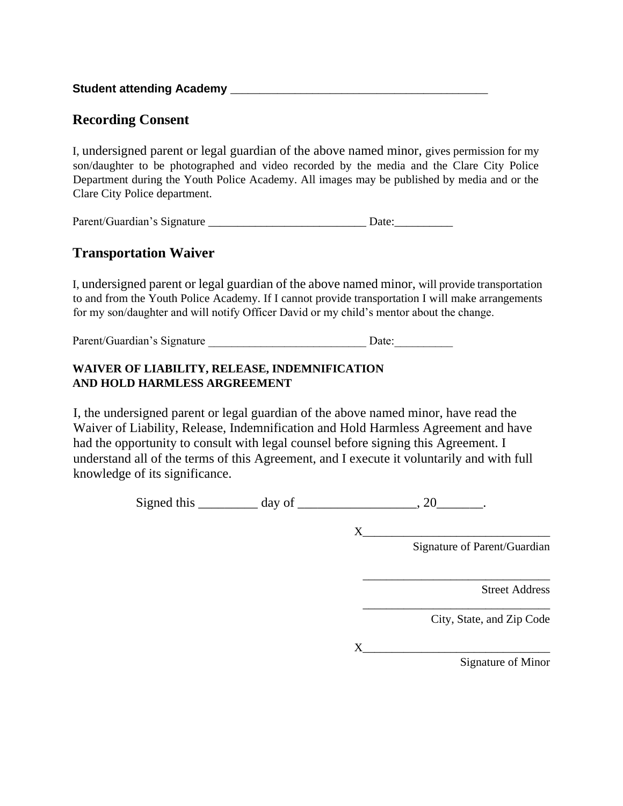**Student attending Academy** \_\_\_\_\_\_\_\_\_\_\_\_\_\_\_\_\_\_\_\_\_\_\_\_\_\_\_\_\_\_\_\_\_\_\_\_\_\_\_\_\_\_\_\_

### **Recording Consent**

I, undersigned parent or legal guardian of the above named minor, gives permission for my son/daughter to be photographed and video recorded by the media and the Clare City Police Department during the Youth Police Academy. All images may be published by media and or the Clare City Police department.

| Parent/Guardian's Signature | Date: |
|-----------------------------|-------|
|                             |       |

### **Transportation Waiver**

I, undersigned parent or legal guardian of the above named minor, will provide transportation to and from the Youth Police Academy. If I cannot provide transportation I will make arrangements for my son/daughter and will notify Officer David or my child's mentor about the change.

Parent/Guardian's Signature example and Date:

### **WAIVER OF LIABILITY, RELEASE, INDEMNIFICATION AND HOLD HARMLESS ARGREEMENT**

I, the undersigned parent or legal guardian of the above named minor, have read the Waiver of Liability, Release, Indemnification and Hold Harmless Agreement and have had the opportunity to consult with legal counsel before signing this Agreement. I understand all of the terms of this Agreement, and I execute it voluntarily and with full knowledge of its significance.

Signed this  $\_\_\_\_\_\_\_\$  day of  $\_\_\_\_\_\_\_\_\_\_\_$ , 20 $\_\_\_\_\_\_\_\_\_\_\_$ .

X\_\_\_\_\_\_\_\_\_\_\_\_\_\_\_\_\_\_\_\_\_\_\_\_\_\_\_\_\_\_\_\_

Signature of Parent/Guardian

\_\_\_\_\_\_\_\_\_\_\_\_\_\_\_\_\_\_\_\_\_\_\_\_\_\_\_\_\_\_\_\_

\_\_\_\_\_\_\_\_\_\_\_\_\_\_\_\_\_\_\_\_\_\_\_\_\_\_\_\_\_\_\_\_

Street Address

City, State, and Zip Code

X\_\_\_\_\_\_\_\_\_\_\_\_\_\_\_\_\_\_\_\_\_\_\_\_\_\_\_\_\_\_\_\_

Signature of Minor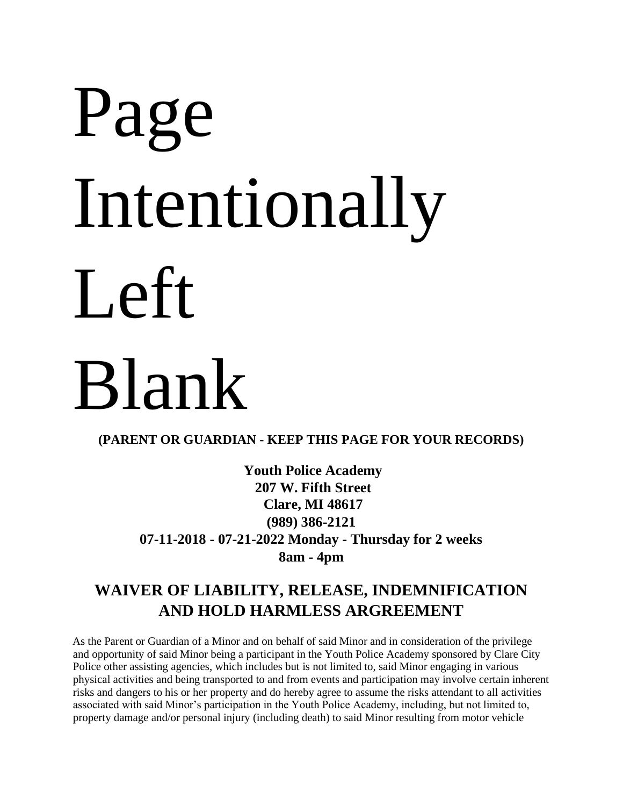# Page Intentionally Left Blank

**(PARENT OR GUARDIAN - KEEP THIS PAGE FOR YOUR RECORDS)** 

**Youth Police Academy 207 W. Fifth Street Clare, MI 48617 (989) 386-2121 07-11-2018 - 07-21-2022 Monday - Thursday for 2 weeks 8am - 4pm** 

# **WAIVER OF LIABILITY, RELEASE, INDEMNIFICATION AND HOLD HARMLESS ARGREEMENT**

As the Parent or Guardian of a Minor and on behalf of said Minor and in consideration of the privilege and opportunity of said Minor being a participant in the Youth Police Academy sponsored by Clare City Police other assisting agencies, which includes but is not limited to, said Minor engaging in various physical activities and being transported to and from events and participation may involve certain inherent risks and dangers to his or her property and do hereby agree to assume the risks attendant to all activities associated with said Minor's participation in the Youth Police Academy, including, but not limited to, property damage and/or personal injury (including death) to said Minor resulting from motor vehicle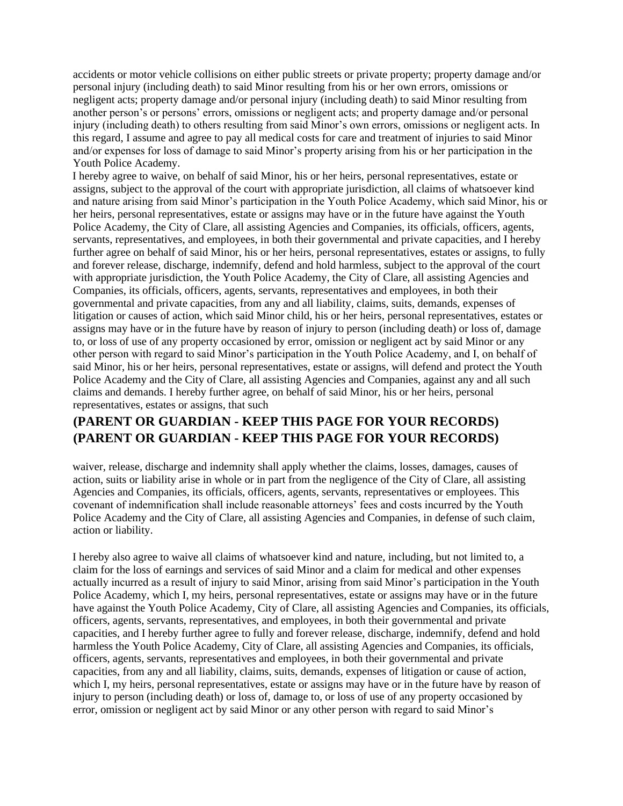accidents or motor vehicle collisions on either public streets or private property; property damage and/or personal injury (including death) to said Minor resulting from his or her own errors, omissions or negligent acts; property damage and/or personal injury (including death) to said Minor resulting from another person's or persons' errors, omissions or negligent acts; and property damage and/or personal injury (including death) to others resulting from said Minor's own errors, omissions or negligent acts. In this regard, I assume and agree to pay all medical costs for care and treatment of injuries to said Minor and/or expenses for loss of damage to said Minor's property arising from his or her participation in the Youth Police Academy.

I hereby agree to waive, on behalf of said Minor, his or her heirs, personal representatives, estate or assigns, subject to the approval of the court with appropriate jurisdiction, all claims of whatsoever kind and nature arising from said Minor's participation in the Youth Police Academy, which said Minor, his or her heirs, personal representatives, estate or assigns may have or in the future have against the Youth Police Academy, the City of Clare, all assisting Agencies and Companies, its officials, officers, agents, servants, representatives, and employees, in both their governmental and private capacities, and I hereby further agree on behalf of said Minor, his or her heirs, personal representatives, estates or assigns, to fully and forever release, discharge, indemnify, defend and hold harmless, subject to the approval of the court with appropriate jurisdiction, the Youth Police Academy, the City of Clare, all assisting Agencies and Companies, its officials, officers, agents, servants, representatives and employees, in both their governmental and private capacities, from any and all liability, claims, suits, demands, expenses of litigation or causes of action, which said Minor child, his or her heirs, personal representatives, estates or assigns may have or in the future have by reason of injury to person (including death) or loss of, damage to, or loss of use of any property occasioned by error, omission or negligent act by said Minor or any other person with regard to said Minor's participation in the Youth Police Academy, and I, on behalf of said Minor, his or her heirs, personal representatives, estate or assigns, will defend and protect the Youth Police Academy and the City of Clare, all assisting Agencies and Companies, against any and all such claims and demands. I hereby further agree, on behalf of said Minor, his or her heirs, personal representatives, estates or assigns, that such

### **(PARENT OR GUARDIAN - KEEP THIS PAGE FOR YOUR RECORDS) (PARENT OR GUARDIAN - KEEP THIS PAGE FOR YOUR RECORDS)**

waiver, release, discharge and indemnity shall apply whether the claims, losses, damages, causes of action, suits or liability arise in whole or in part from the negligence of the City of Clare, all assisting Agencies and Companies, its officials, officers, agents, servants, representatives or employees. This covenant of indemnification shall include reasonable attorneys' fees and costs incurred by the Youth Police Academy and the City of Clare, all assisting Agencies and Companies, in defense of such claim, action or liability.

I hereby also agree to waive all claims of whatsoever kind and nature, including, but not limited to, a claim for the loss of earnings and services of said Minor and a claim for medical and other expenses actually incurred as a result of injury to said Minor, arising from said Minor's participation in the Youth Police Academy, which I, my heirs, personal representatives, estate or assigns may have or in the future have against the Youth Police Academy, City of Clare, all assisting Agencies and Companies, its officials, officers, agents, servants, representatives, and employees, in both their governmental and private capacities, and I hereby further agree to fully and forever release, discharge, indemnify, defend and hold harmless the Youth Police Academy, City of Clare, all assisting Agencies and Companies, its officials, officers, agents, servants, representatives and employees, in both their governmental and private capacities, from any and all liability, claims, suits, demands, expenses of litigation or cause of action, which I, my heirs, personal representatives, estate or assigns may have or in the future have by reason of injury to person (including death) or loss of, damage to, or loss of use of any property occasioned by error, omission or negligent act by said Minor or any other person with regard to said Minor's